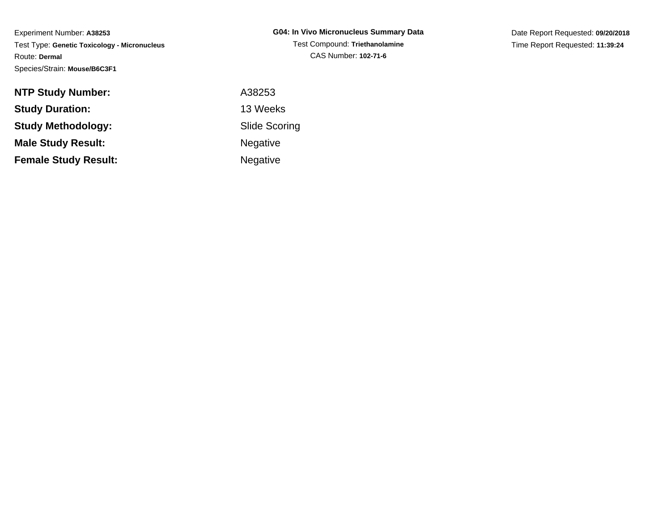Date Report Requested: **09/20/2018**Time Report Requested: **11:39:24**

| <b>NTP Study Number:</b>    | A38253               |
|-----------------------------|----------------------|
| <b>Study Duration:</b>      | 13 Weeks             |
| <b>Study Methodology:</b>   | <b>Slide Scoring</b> |
| <b>Male Study Result:</b>   | <b>Negative</b>      |
| <b>Female Study Result:</b> | Negative             |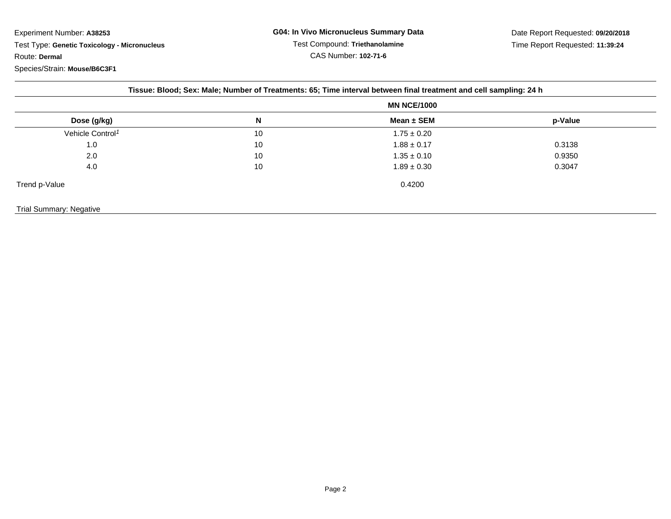| Tissue: Blood; Sex: Male; Number of Treatments: 65; Time interval between final treatment and cell sampling: 24 h |                    |                 |         |  |  |
|-------------------------------------------------------------------------------------------------------------------|--------------------|-----------------|---------|--|--|
|                                                                                                                   | <b>MN NCE/1000</b> |                 |         |  |  |
| Dose (g/kg)                                                                                                       | N                  | Mean $\pm$ SEM  | p-Value |  |  |
| Vehicle Control <sup>1</sup>                                                                                      | 10                 | $1.75 \pm 0.20$ |         |  |  |
| 1.0                                                                                                               | 10                 | $1.88 \pm 0.17$ | 0.3138  |  |  |
| 2.0                                                                                                               | 10                 | $1.35 \pm 0.10$ | 0.9350  |  |  |
| 4.0                                                                                                               | 10                 | $1.89 \pm 0.30$ | 0.3047  |  |  |
| Trend p-Value                                                                                                     |                    | 0.4200          |         |  |  |
| Trial Summary: Negative                                                                                           |                    |                 |         |  |  |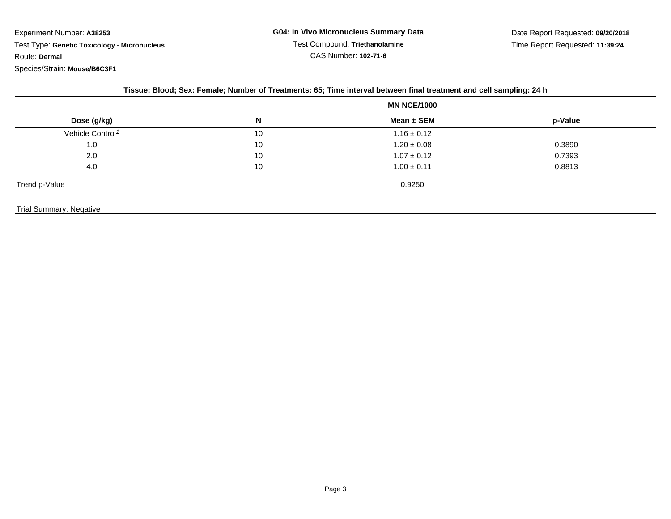|                              |    | Tissue: Blood; Sex: Female; Number of Treatments: 65; Time interval between final treatment and cell sampling: 24 h |                    |  |
|------------------------------|----|---------------------------------------------------------------------------------------------------------------------|--------------------|--|
|                              |    |                                                                                                                     | <b>MN NCE/1000</b> |  |
| Dose (g/kg)                  | N  | Mean ± SEM                                                                                                          | p-Value            |  |
| Vehicle Control <sup>1</sup> | 10 | $1.16 \pm 0.12$                                                                                                     |                    |  |
| 1.0                          | 10 | $1.20 \pm 0.08$                                                                                                     | 0.3890             |  |
| 2.0                          | 10 | $1.07 \pm 0.12$                                                                                                     | 0.7393             |  |
| 4.0                          | 10 | $1.00 \pm 0.11$                                                                                                     | 0.8813             |  |
| Trend p-Value                |    | 0.9250                                                                                                              |                    |  |
|                              |    |                                                                                                                     |                    |  |
| Trial Summary: Negative      |    |                                                                                                                     |                    |  |